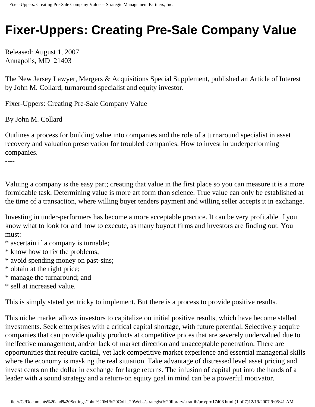# **Fixer-Uppers: Creating Pre-Sale Company Value**

Released: August 1, 2007 Annapolis, MD 21403

The New Jersey Lawyer, Mergers & Acquisitions Special Supplement, published an Article of Interest by John M. Collard, turnaround specialist and equity investor.

Fixer-Uppers: Creating Pre-Sale Company Value

By John M. Collard

Outlines a process for building value into companies and the role of a turnaround specialist in asset recovery and valuation preservation for troubled companies. How to invest in underperforming companies.

----

Valuing a company is the easy part; creating that value in the first place so you can measure it is a more formidable task. Determining value is more art form than science. True value can only be established at the time of a transaction, where willing buyer tenders payment and willing seller accepts it in exchange.

Investing in under-performers has become a more acceptable practice. It can be very profitable if you know what to look for and how to execute, as many buyout firms and investors are finding out. You must:

\* ascertain if a company is turnable;

- \* know how to fix the problems;
- \* avoid spending money on past-sins;
- \* obtain at the right price;
- \* manage the turnaround; and
- \* sell at increased value.

This is simply stated yet tricky to implement. But there is a process to provide positive results.

This niche market allows investors to capitalize on initial positive results, which have become stalled investments. Seek enterprises with a critical capital shortage, with future potential. Selectively acquire companies that can provide quality products at competitive prices that are severely undervalued due to ineffective management, and/or lack of market direction and unacceptable penetration. There are opportunities that require capital, yet lack competitive market experience and essential managerial skills where the economy is masking the real situation. Take advantage of distressed level asset pricing and invest cents on the dollar in exchange for large returns. The infusion of capital put into the hands of a leader with a sound strategy and a return-on equity goal in mind can be a powerful motivator.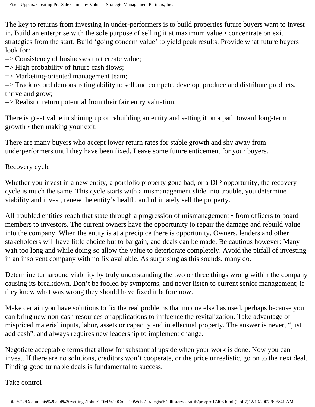The key to returns from investing in under-performers is to build properties future buyers want to invest in. Build an enterprise with the sole purpose of selling it at maximum value • concentrate on exit strategies from the start. Build 'going concern value' to yield peak results. Provide what future buyers look for:

 $\Rightarrow$  Consistency of businesses that create value;

 $\Rightarrow$  High probability of future cash flows;

=> Marketing-oriented management team;

=> Track record demonstrating ability to sell and compete, develop, produce and distribute products, thrive and grow;

 $\Rightarrow$  Realistic return potential from their fair entry valuation.

There is great value in shining up or rebuilding an entity and setting it on a path toward long-term growth • then making your exit.

There are many buyers who accept lower return rates for stable growth and shy away from underperformers until they have been fixed. Leave some future enticement for your buyers.

Recovery cycle

Whether you invest in a new entity, a portfolio property gone bad, or a DIP opportunity, the recovery cycle is much the same. This cycle starts with a mismanagement slide into trouble, you determine viability and invest, renew the entity's health, and ultimately sell the property.

All troubled entities reach that state through a progression of mismanagement • from officers to board members to investors. The current owners have the opportunity to repair the damage and rebuild value into the company. When the entity is at a precipice there is opportunity. Owners, lenders and other stakeholders will have little choice but to bargain, and deals can be made. Be cautious however: Many wait too long and while doing so allow the value to deteriorate completely. Avoid the pitfall of investing in an insolvent company with no fix available. As surprising as this sounds, many do.

Determine turnaround viability by truly understanding the two or three things wrong within the company causing its breakdown. Don't be fooled by symptoms, and never listen to current senior management; if they knew what was wrong they should have fixed it before now.

Make certain you have solutions to fix the real problems that no one else has used, perhaps because you can bring new non-cash resources or applications to influence the revitalization. Take advantage of mispriced material inputs, labor, assets or capacity and intellectual property. The answer is never, "just add cash", and always requires new leadership to implement change.

Negotiate acceptable terms that allow for substantial upside when your work is done. Now you can invest. If there are no solutions, creditors won't cooperate, or the price unrealistic, go on to the next deal. Finding good turnable deals is fundamental to success.

Take control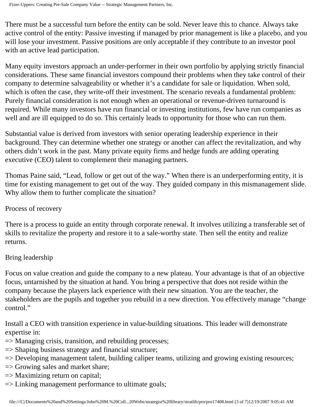There must be a successful turn before the entity can be sold. Never leave this to chance. Always take active control of the entity: Passive investing if managed by prior management is like a placebo, and you will lose your investment. Passive positions are only acceptable if they contribute to an investor pool with an active lead participation.

Many equity investors approach an under-performer in their own portfolio by applying strictly financial considerations. These same financial investors compound their problems when they take control of their company to determine salvageability or whether it's a candidate for sale or liquidation. When sold, which is often the case, they write-off their investment. The scenario reveals a fundamental problem: Purely financial consideration is not enough when an operational or revenue-driven turnaround is required. While many investors have run financial or investing institutions, few have run companies as well and are ill equipped to do so. This certainly leads to opportunity for those who can run them.

Substantial value is derived from investors with senior operating leadership experience in their background. They can determine whether one strategy or another can affect the revitalization, and why others didn't work in the past. Many private equity firms and hedge funds are adding operating executive (CEO) talent to complement their managing partners.

Thomas Paine said, "Lead, follow or get out of the way." When there is an underperforming entity, it is time for existing management to get out of the way. They guided company in this mismanagement slide. Why allow them to further complicate the situation?

# Process of recovery

There is a process to guide an entity through corporate renewal. It involves utilizing a transferable set of skills to revitalize the property and restore it to a sale-worthy state. Then sell the entity and realize returns.

# Bring leadership

Focus on value creation and guide the company to a new plateau. Your advantage is that of an objective focus, untarnished by the situation at hand. You bring a perspective that does not reside within the company because the players lack experience with their new situation. You are the teacher, the stakeholders are the pupils and together you rebuild in a new direction. You effectively manage "change control."

Install a CEO with transition experience in value-building situations. This leader will demonstrate expertise in:

- => Managing crisis, transition, and rebuilding processes;
- => Shaping business strategy and financial structure;
- => Developing management talent, building caliper teams, utilizing and growing existing resources;
- => Growing sales and market share;
- => Maximizing return on capital;
- => Linking management performance to ultimate goals;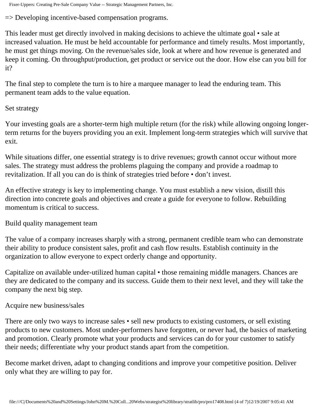Fixer-Uppers: Creating Pre-Sale Company Value -- Strategic Management Partners, Inc.

=> Developing incentive-based compensation programs.

This leader must get directly involved in making decisions to achieve the ultimate goal • sale at increased valuation. He must be held accountable for performance and timely results. Most importantly, he must get things moving. On the revenue/sales side, look at where and how revenue is generated and keep it coming. On throughput/production, get product or service out the door. How else can you bill for it?

The final step to complete the turn is to hire a marquee manager to lead the enduring team. This permanent team adds to the value equation.

## Set strategy

Your investing goals are a shorter-term high multiple return (for the risk) while allowing ongoing longerterm returns for the buyers providing you an exit. Implement long-term strategies which will survive that exit.

While situations differ, one essential strategy is to drive revenues; growth cannot occur without more sales. The strategy must address the problems plaguing the company and provide a roadmap to revitalization. If all you can do is think of strategies tried before • don't invest.

An effective strategy is key to implementing change. You must establish a new vision, distill this direction into concrete goals and objectives and create a guide for everyone to follow. Rebuilding momentum is critical to success.

Build quality management team

The value of a company increases sharply with a strong, permanent credible team who can demonstrate their ability to produce consistent sales, profit and cash flow results. Establish continuity in the organization to allow everyone to expect orderly change and opportunity.

Capitalize on available under-utilized human capital • those remaining middle managers. Chances are they are dedicated to the company and its success. Guide them to their next level, and they will take the company the next big step.

# Acquire new business/sales

There are only two ways to increase sales • sell new products to existing customers, or sell existing products to new customers. Most under-performers have forgotten, or never had, the basics of marketing and promotion. Clearly promote what your products and services can do for your customer to satisfy their needs; differentiate why your product stands apart from the competition.

Become market driven, adapt to changing conditions and improve your competitive position. Deliver only what they are willing to pay for.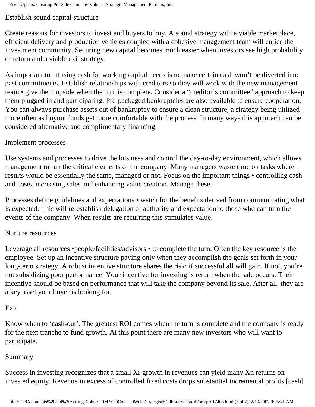## Establish sound capital structure

Create reasons for investors to invest and buyers to buy. A sound strategy with a viable marketplace, efficient delivery and production vehicles coupled with a cohesive management team will entice the investment community. Securing new capital becomes much easier when investors see high probability of return and a viable exit strategy.

As important to infusing cash for working capital needs is to make certain cash won't be diverted into past commitments. Establish relationships with creditors so they will work with the new management team • give them upside when the turn is complete. Consider a "creditor's committee" approach to keep them plugged in and participating. Pre-packaged bankruptcies are also available to ensure cooperation. You can always purchase assets out of bankruptcy to ensure a clean structure, a strategy being utilized more often as buyout funds get more comfortable with the process. In many ways this approach can be considered alternative and complimentary financing.

## Implement processes

Use systems and processes to drive the business and control the day-to-day environment, which allows management to run the critical elements of the company. Many managers waste time on tasks where results would be essentially the same, managed or not. Focus on the important things • controlling cash and costs, increasing sales and enhancing value creation. Manage these.

Processes define guidelines and expectations • watch for the benefits derived from communicating what is expected. This will re-establish delegation of authority and expectation to those who can turn the events of the company. When results are recurring this stimulates value.

### Nurture resources

Leverage all resources •people/facilities/advisors • to complete the turn. Often the key resource is the employee: Set up an incentive structure paying only when they accomplish the goals set forth in your long-term strategy. A robust incentive structure shares the risk; if successful all will gain. If not, you're not subsidizing poor performance. Your incentive for investing is return when the sale occurs. Their incentive should be based on performance that will take the company beyond its sale. After all, they are a key asset your buyer is looking for.

### Exit

Know when to 'cash-out'. The greatest ROI comes when the turn is complete and the company is ready for the next tranche to fund growth. At this point there are many new investors who will want to participate.

### Summary

Success in investing recognizes that a small Xr growth in revenues can yield many Xn returns on invested equity. Revenue in excess of controlled fixed costs drops substantial incremental profits [cash]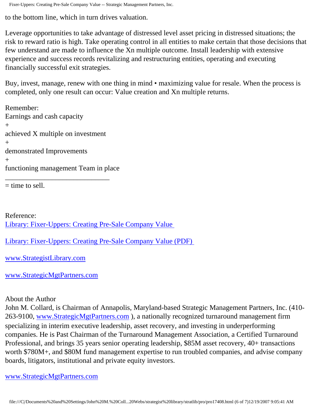Fixer-Uppers: Creating Pre-Sale Company Value -- Strategic Management Partners, Inc.

to the bottom line, which in turn drives valuation.

Leverage opportunities to take advantage of distressed level asset pricing in distressed situations; the risk to reward ratio is high. Take operating control in all entities to make certain that those decisions that few understand are made to influence the Xn multiple outcome. Install leadership with extensive experience and success records revitalizing and restructuring entities, operating and executing financially successful exit strategies.

Buy, invest, manage, renew with one thing in mind • maximizing value for resale. When the process is completed, only one result can occur: Value creation and Xn multiple returns.

Remember: Earnings and cash capacity  $+$ achieved X multiple on investment  $+$ demonstrated Improvements  $+$ functioning management Team in place \_\_\_\_\_\_\_\_\_\_\_\_\_\_\_\_\_\_\_\_\_\_\_\_\_\_\_\_\_

 $=$  time to sell.

Reference: [Library: Fixer-Uppers: Creating Pre-Sale Company Value](http://members.aol.com/stratlib3/njlfixup.html)

[Library: Fixer-Uppers: Creating Pre-Sale Company Value \(PDF\)](http://members.aol.com/stratlib3/njlfixup.pdf) 

[www.StrategistLibrary.com](http://www.strategistlibrary.com/)

[www.StrategicMgtPartners.com](http://www.strategicmgtpartners.com/)

### About the Author

John M. Collard, is Chairman of Annapolis, Maryland-based Strategic Management Partners, Inc. (410- 263-9100, [www.StrategicMgtPartners.com](http://www.strategicmgtpartners.com/) ), a nationally recognized turnaround management firm specializing in interim executive leadership, asset recovery, and investing in underperforming companies. He is Past Chairman of the Turnaround Management Association, a Certified Turnaround Professional, and brings 35 years senior operating leadership, \$85M asset recovery, 40+ transactions worth \$780M+, and \$80M fund management expertise to run troubled companies, and advise company boards, litigators, institutional and private equity investors.

[www.StrategicMgtPartners.com](http://www.strategicmgtpartners.com/)